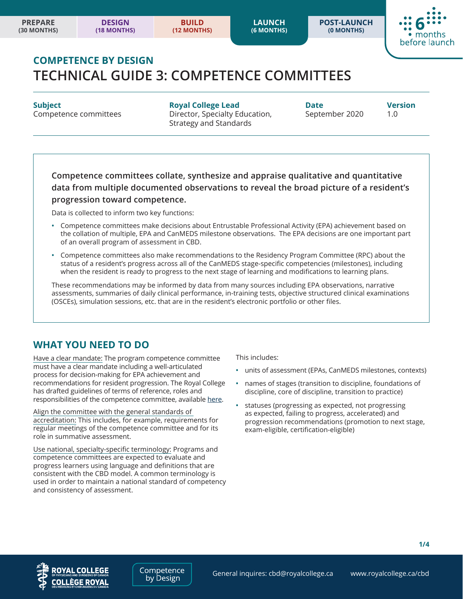**POST-LAUNCH (0 MONTHS)**



# **COMPETENCE BY DESIGN TECHNICAL GUIDE 3: COMPETENCE COMMITTEES**

**Subject Royal College Lead Date Version** Competence committees **Director, Specialty Education,** September 2020 1.0 Strategy and Standards

**Competence committees collate, synthesize and appraise qualitative and quantitative data from multiple documented observations to reveal the broad picture of a resident's progression toward competence.** 

Data is collected to inform two key functions:

- **•** Competence committees make decisions about Entrustable Professional Activity (EPA) achievement based on the collation of multiple, EPA and CanMEDS milestone observations. The EPA decisions are one important part of an overall program of assessment in CBD.
- **•** Competence committees also make recommendations to the Residency Program Committee (RPC) about the status of a resident's progress across all of the CanMEDS stage-specific competencies (milestones), including when the resident is ready to progress to the next stage of learning and modifications to learning plans.

These recommendations may be informed by data from many sources including EPA observations, narrative assessments, summaries of daily clinical performance, in-training tests, objective structured clinical examinations (OSCEs), simulation sessions, etc. that are in the resident's electronic portfolio or other files.

## **WHAT YOU NEED TO DO**

Have a clear mandate: The program competence committee must have a clear mandate including a well-articulated process for decision-making for EPA achievement and recommendations for resident progression. The Royal College has drafted guidelines of terms of reference, roles and responsibilities of the competence committee, available [here](www.royalcollege.ca/rcsite/cbd/cbd-tools-resources-e?N=10000023+10000026+4294967268).

Align the committee with the general standards of accreditation: This includes, for example, requirements for regular meetings of the competence committee and for its role in summative assessment.

Use national, specialty-specific terminology: Programs and competence committees are expected to evaluate and progress learners using language and definitions that are consistent with the CBD model. A common terminology is used in order to maintain a national standard of competency and consistency of assessment.

This includes:

- **•** units of assessment (EPAs, CanMEDS milestones, contexts)
- **•** names of stages (transition to discipline, foundations of discipline, core of discipline, transition to practice)
- **•** statuses (progressing as expected, not progressing as expected, failing to progress, accelerated) and progression recommendations (promotion to next stage, exam-eligible, certification-eligible)

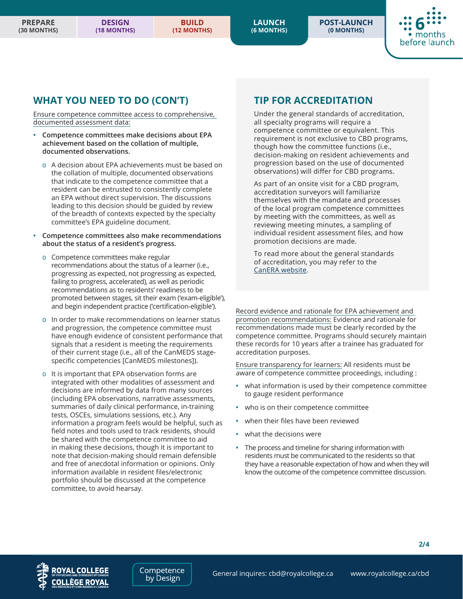**LAUNCH (6 MONTHS)** **POST-LAUNCH (0 MONTHS)**



### **WHAT YOU NEED TO DO (CON'T)**

Ensure competence committee access to comprehensive, documented assessment data:

- **• Competence committees make decisions about EPA achievement based on the collation of multiple, documented observations.** 
	- A decision about EPA achievements must be based on the collation of multiple, documented observations that indicate to the competence committee that a resident can be entrusted to consistently complete an EPA without direct supervision. The discussions leading to this decision should be guided by review of the breadth of contexts expected by the specialty committee's EPA guideline document.
- **• Competence committees also make recommendations about the status of a resident's progress.** 
	- Competence committees make regular recommendations about the status of a learner (i.e., progressing as expected, not progressing as expected, failing to progress, accelerated), as well as periodic recommendations as to residents' readiness to be promoted between stages, sit their exam ('exam-eligible'), and begin independent practice ('certification-eligible').
	- In order to make recommendations on learner status and progression, the competence committee must have enough evidence of consistent performance that signals that a resident is meeting the requirements of their current stage (i.e., all of the CanMEDS stagespecific competencies [CanMEDS milestones]).
	- o It is important that EPA observation forms are integrated with other modalities of assessment and decisions are informed by data from many sources (including EPA observations, narrative assessments, summaries of daily clinical performance, in-training tests, OSCEs, simulations sessions, etc.). Any information a program feels would be helpful, such as field notes and tools used to track residents, should be shared with the competence committee to aid in making these decisions, though it is important to note that decision-making should remain defensible and free of anecdotal information or opinions. Only information available in resident files/electronic portfolio should be discussed at the competence committee, to avoid hearsay.

# **TIP FOR ACCREDITATION**

Under the general standards of accreditation, all specialty programs will require a competence committee or equivalent. This requirement is not exclusive to CBD programs, though how the committee functions (i.e., decision-making on resident achievements and progression based on the use of documented observations) will differ for CBD programs.

As part of an onsite visit for a CBD program, accreditation surveyors will familiarize themselves with the mandate and processes of the local program competence committees by meeting with the committees, as well as reviewing meeting minutes, a sampling of individual resident assessment files, and how promotion decisions are made.

To read more about the general standards of accreditation, you may refer to the [CanERA website.](www.canera.ca/canrac/home-e) 

Record evidence and rationale for EPA achievement and promotion recommendations: Evidence and rationale for recommendations made must be clearly recorded by the competence committee. Programs should securely maintain these records for 10 years after a trainee has graduated for accreditation purposes.

Ensure transparency for learners: All residents must be aware of competence committee proceedings, including :

- **•** what information is used by their competence committee to gauge resident performance
- **•** who is on their competence committee
- **•** when their files have been reviewed
- **•** what the decisions were
- **•** The process and timeline for sharing information with residents must be communicated to the residents so that they have a reasonable expectation of how and when they will know the outcome of the competence committee discussion.



Competence by Design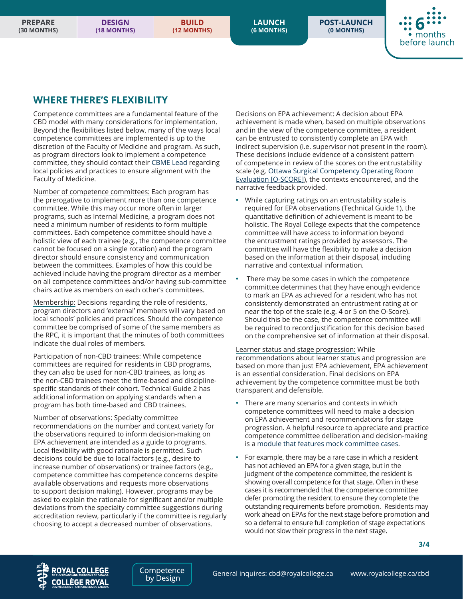**POST-LAUNCH (0 MONTHS)**



#### **WHERE THERE'S FLEXIBILITY**

Competence committees are a fundamental feature of the CBD model with many considerations for implementation. Beyond the flexibilities listed below, many of the ways local competence committees are implemented is up to the discretion of the Faculty of Medicine and program. As such, as program directors look to implement a competence committee, they should contact their [CBME Lead](www.royalcollege.ca/rcsite/cbd/implementation/getting-started-cbd-local-support-e/cbme-leads-e) regarding local policies and practices to ensure alignment with the Faculty of Medicine.

Number of competence committees: Each program has the prerogative to implement more than one competence committee. While this may occur more often in larger programs, such as Internal Medicine, a program does not need a minimum number of residents to form multiple committees. Each competence committee should have a holistic view of each trainee (e.g., the competence committee cannot be focused on a single rotation) and the program director should ensure consistency and communication between the committees. Examples of how this could be achieved include having the program director as a member on all competence committees and/or having sub-committee chairs active as members on each other's committees.

Membership: Decisions regarding the role of residents, program directors and 'external' members will vary based on local schools' policies and practices. Should the competence committee be comprised of some of the same members as the RPC, it is important that the minutes of both committees indicate the dual roles of members.

Participation of non-CBD trainees: While competence committees are required for residents in CBD programs, they can also be used for non-CBD trainees, as long as the non-CBD trainees meet the time-based and disciplinespecific standards of their cohort. Technical Guide 2 has additional information on applying standards when a program has both time-based and CBD trainees.

Number of observations: Specialty committee recommendations on the number and context variety for the observations required to inform decision-making on EPA achievement are intended as a guide to programs. Local flexibility with good rationale is permitted. Such decisions could be due to local factors (e.g., desire to increase number of observations) or trainee factors (e.g., competence committee has competence concerns despite available observations and requests more observations to support decision making). However, programs may be asked to explain the rationale for significant and/or multiple deviations from the specialty committee suggestions during accreditation review, particularly if the committee is regularly choosing to accept a decreased number of observations.

Decisions on EPA achievement: A decision about EPA achievement is made when, based on multiple observations and in the view of the competence committee, a resident can be entrusted to consistently complete an EPA with indirect supervision (i.e. supervisor not present in the room). These decisions include evidence of a consistent pattern of competence in review of the scores on the entrustability scale (e.g. [Ottawa Surgical Competency Operating Room](https://journals.lww.com/academicmedicine/Pages/articleviewer.aspx?year=2012&issue=10000&article=00024&type=Fulltext)  [Evaluation \[O-SCORE\]](https://journals.lww.com/academicmedicine/Pages/articleviewer.aspx?year=2012&issue=10000&article=00024&type=Fulltext)), the contexts encountered, and the narrative feedback provided.

- **•** While capturing ratings on an entrustability scale is required for EPA observations (Technical Guide 1), the quantitative definition of achievement is meant to be holistic. The Royal College expects that the competence committee will have access to information beyond the entrustment ratings provided by assessors. The committee will have the flexibility to make a decision based on the information at their disposal, including narrative and contextual information.
- **•** There may be some cases in which the competence committee determines that they have enough evidence to mark an EPA as achieved for a resident who has not consistently demonstrated an entrustment rating at or near the top of the scale (e.g. 4 or 5 on the O-Score). Should this be the case, the competence committee will be required to record justification for this decision based on the comprehensive set of information at their disposal.

Learner status and stage progression: While recommendations about learner status and progression are based on more than just EPA achievement, EPA achievement is an essential consideration. Final decisions on EPA achievement by the competence committee must be both transparent and defensible.

- **•** There are many scenarios and contexts in which competence committees will need to make a decision on EPA achievement and recommendations for stage progression. A helpful resource to appreciate and practice competence committee deliberation and decision-making is a [module that features mock committee cases.](www.royalcollege.ca/mssites/casescenarios_en/story_html5.html)
- **•** For example, there may be a rare case in which a resident has not achieved an EPA for a given stage, but in the judgment of the competence committee, the resident is showing overall competence for that stage. Often in these cases it is recommended that the competence committee defer promoting the resident to ensure they complete the outstanding requirements before promotion. Residents may work ahead on EPAs for the next stage before promotion and so a deferral to ensure full completion of stage expectations would not slow their progress in the next stage.

by Design

**3/4**